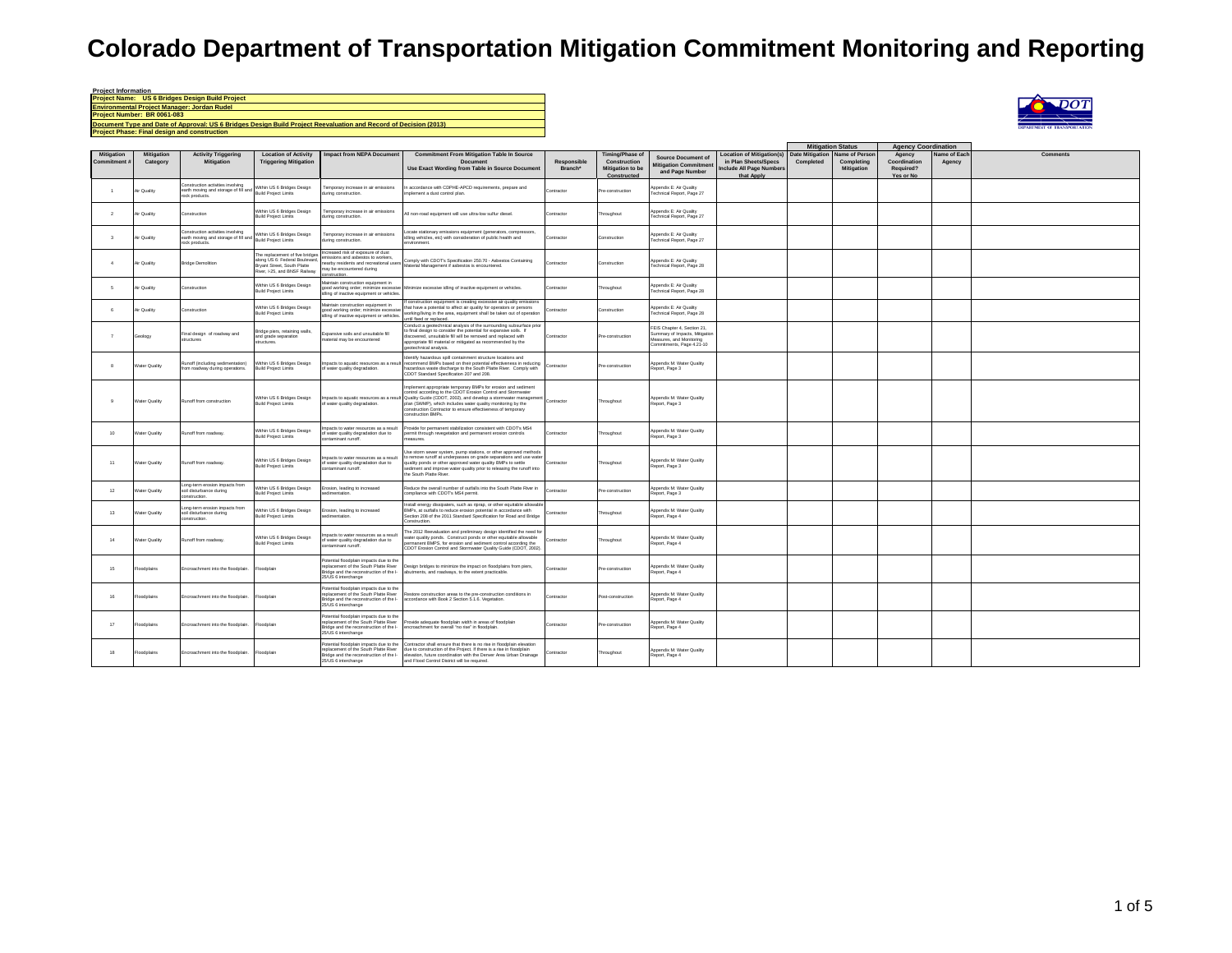| <b>Project Information</b>                                                                                       |
|------------------------------------------------------------------------------------------------------------------|
| <b>Project Name: US 6 Bridges Design Build Project</b>                                                           |
| <b>Environmental Project Manager: Jordan Rudel</b>                                                               |
| Project Number: BR 0061-083                                                                                      |
| Document Type and Date of Approval: US 6 Bridges Design Build Project Reevaluation and Record of Decision (2013) |
| <b>Project Phase: Final design and construction</b>                                                              |



|                          |                               |                                                                                                                                                     |                                                                                                                                          |                                                                                                                                                              |                                                                                                                                                                                                                                                                                                                                                                                                |                        |                                                                    |                                                                                                                       |                                                                                                   | <b>Mitigation Status</b>            |                                                   | <b>Agency Coordination</b>                       |                       |                 |
|--------------------------|-------------------------------|-----------------------------------------------------------------------------------------------------------------------------------------------------|------------------------------------------------------------------------------------------------------------------------------------------|--------------------------------------------------------------------------------------------------------------------------------------------------------------|------------------------------------------------------------------------------------------------------------------------------------------------------------------------------------------------------------------------------------------------------------------------------------------------------------------------------------------------------------------------------------------------|------------------------|--------------------------------------------------------------------|-----------------------------------------------------------------------------------------------------------------------|---------------------------------------------------------------------------------------------------|-------------------------------------|---------------------------------------------------|--------------------------------------------------|-----------------------|-----------------|
| Mitigation<br>Commitment | <b>Mitigation</b><br>Category | <b>Activity Triggering</b><br><b>Mitigation</b>                                                                                                     | <b>Location of Activity</b><br><b>Triggering Mitigation</b>                                                                              | <b>Impact from NEPA Document</b>                                                                                                                             | <b>Commitment From Mitigation Table In Source</b><br><b>Document</b><br>Use Exact Wording from Table in Source Document                                                                                                                                                                                                                                                                        | Responsible<br>Branch* | Timing/Phase of<br>Construction<br>Mitigation to be<br>Constructed | <b>Source Document of</b><br>litigation Commitment<br>and Page Number                                                 | <b>Location of Mitigation(s)</b><br>in Plan Sheets/Specs<br>nclude All Page Numbers<br>that Apply | <b>Date Mitigation</b><br>Completed | Name of Persor<br>Completing<br><b>Mitigation</b> | Agency<br>Coordination<br>Required?<br>Yes or No | Name of Eac<br>Agency | <b>Comments</b> |
| $\overline{1}$           | Air Quality                   | Construction activities involving<br>Construction activises inverting<br>earth moving and storage of fill and Mithin US is enough<br>rock products. | Within US 6 Bridges Design                                                                                                               | Temporary increase in air emissions<br>iring construction.                                                                                                   | n accordance with CDPHE-APCD requirements, prepare and<br>mplement a dust control plan.                                                                                                                                                                                                                                                                                                        | Contractor             | Pre-construction                                                   | <b>Ippendix E: Air Quality</b><br>Fechnical Report, Page 27                                                           |                                                                                                   |                                     |                                                   |                                                  |                       |                 |
| $\overline{2}$           | Air Quality                   | Construction                                                                                                                                        | Within US 6 Bridges Design<br><b>Build Project Limits</b>                                                                                | l'emporary increase in air emissions<br>during construction.                                                                                                 | All non-road equipment will use ultra-low sulfur diesel.                                                                                                                                                                                                                                                                                                                                       | Contractor             | hroughout                                                          | Appendix E: Air Quality<br>Technical Report, Page 27                                                                  |                                                                                                   |                                     |                                                   |                                                  |                       |                 |
| $\overline{\mathbf{3}}$  | Air Quality                   | Construction activities involving<br>earth moving and storage of fill and Frame over a many                                                         | Within US 6 Bridges Design                                                                                                               | lemporary increase in air emissions<br>during construction.                                                                                                  | Locate stationary emissions equipment (generators, compressors,<br>idling vehicles, etc) with consideration of public health and<br>nemment                                                                                                                                                                                                                                                    | Contractor             | Construction                                                       | Appendix E: Air Quality<br>Technical Report, Page 27                                                                  |                                                                                                   |                                     |                                                   |                                                  |                       |                 |
| $\sim$                   | Air Quality                   | <b>Bridge Demolition</b>                                                                                                                            | The replacement of five bridges.<br>along US 6: Eederal Boulevard<br><b>Rogert Street, South Platte</b><br>River, I-25, and BNSF Railway | Increased risk of exposure of dust<br>nissions and asbestos to workers,<br>arby residents and recreational users<br>pay he encountered during<br>nstruction. | Comply with CDOT's Specification 250.70 - Asbestos Containing<br>Material Management if asbestos is encountered.                                                                                                                                                                                                                                                                               | Contractor             | Construction                                                       | Annendix F: Air Quality<br>Technical Report, Page 28                                                                  |                                                                                                   |                                     |                                                   |                                                  |                       |                 |
| 6                        | Air Quality                   | Construction                                                                                                                                        | Within US 6 Bridges Design<br><b>Build Project Limits</b>                                                                                | Maintain construction equipment in<br>idling of inactive equipment or vehicles                                                                               | good working order; minimize excessive Minimize excessive idling of inactive equipment or vehicles.                                                                                                                                                                                                                                                                                            | Contractor             | Throughout                                                         | Appendix E: Air Quality<br>Fechnical Report, Page 28                                                                  |                                                                                                   |                                     |                                                   |                                                  |                       |                 |
| $\kappa$                 | Air Quality                   | Construction                                                                                                                                        | Within US 6 Bridges Design<br><b>Build Project Limits</b>                                                                                | faintain construction equipment in<br>good working order; minimize excessive<br>dling of inactive equipment or vehicles.                                     | If construction equipment is creating excessive air quality emissions<br>that have a potential to affect air quality for operators or persons<br>working/living in the area, equipment shall be taken out of operation<br>intil fixed or replaced.                                                                                                                                             | Contractor             | Construction                                                       | Appendix E: Air Quality<br>Technical Report, Page 28                                                                  |                                                                                                   |                                     |                                                   |                                                  |                       |                 |
| $\overline{7}$           | šeology                       | Final design of roadway and<br>tructures                                                                                                            | Bridge piers, retaining walls,<br>and grade separation<br>structures.                                                                    | Expansive soils and unsuitable fill<br>aterial may be encountered                                                                                            | Conduct a geotechnical analysis of the surrounding subsurface prior<br>o final design to consider the potential for expansive soils. If<br>discovered, unsuitable fill will be removed and replaced with<br>appropriate fill material or mitigated as recommended by the<br>perdechnical analysis                                                                                              | Contractor             | re-construction                                                    | FEIS Chapter 4. Section 21.<br>Summary of Impacts, Mitigatio<br>Measures, and Monitoring<br>Commitments, Page 4.21-10 |                                                                                                   |                                     |                                                   |                                                  |                       |                 |
| 8                        | <b>Water Quality</b>          | Runoff (including sedimentation)<br>from roadway during operations.                                                                                 | Within US 6 Bridges Design<br><b>Build Project Limits</b>                                                                                | Impacts to aquatic resources as a result<br>of water quality degradation.                                                                                    | Identify hazardous spill containment structure locations and<br>recommend BMPs based on their potential effectiveness in reducing<br>hazardous waste discharge to the South Platte River. Comply with<br>CDOT Standard Specification 207 and 208.                                                                                                                                              | Contractor             | Pre-construction                                                   | Appendix M: Water Quality<br>Report, Page 3                                                                           |                                                                                                   |                                     |                                                   |                                                  |                       |                 |
| $\overline{9}$           | <b>Water Quality</b>          | Runoff from construction                                                                                                                            | Within US 6 Bridges Design<br><b>Build Project Limits</b>                                                                                | of water quality degradation.                                                                                                                                | Implement appropriate temporary BMPs for erosion and sediment<br>control according to the CDOT Erosion Control and Stormwater<br>Impacts to aquatic resources as a result Quality Guide (CDOT, 2002), and develop a stormwater management<br>plan (SWMP), which includes water quality monitoring by the<br>construction Contractor to ensure effectiveness of temporary<br>construction BMPs. | Contractor             | Throughout                                                         | Annendix M: Water Quality<br>Report, Page 3                                                                           |                                                                                                   |                                     |                                                   |                                                  |                       |                 |
| 10                       | <b>Nater Quality</b>          | Runoff from roadway.                                                                                                                                | Within US 6 Bridges Design<br><b>Build Project Limits</b>                                                                                | npacts to water resources as a result<br>of water quality degradation due to<br>contaminant runoff.                                                          | Provide for permanent stabilization consistent with CDOT's MS4<br>permit through revegetation and permanent erosion controls<br><b>PARLISHE</b>                                                                                                                                                                                                                                                | Contractor             | Throughout                                                         | <b>Ippendix M: Water Quality</b><br>Report, Page 3                                                                    |                                                                                                   |                                     |                                                   |                                                  |                       |                 |
| 11                       | <b>Water Quality</b>          | Runoff from roadway.                                                                                                                                | Within US 6 Bridges Design<br><b>Build Project Limits</b>                                                                                | moacts to water resources as a result<br>of water quality degradation due to<br>ontaminant runoff.                                                           | Use storm sewer system, pump stations, or other approved methods<br>to remove runoff at underpasses on grade separations and use water<br>quality ponds or other approved water quality BMPs to settle<br>sediment and improve water quality prior to releasing the runoff into<br>the South Platte River.                                                                                     | Contractor             | Throughout                                                         | Appendix M: Water Quality<br>Report, Page 3                                                                           |                                                                                                   |                                     |                                                   |                                                  |                       |                 |
| 12                       | Water Quality                 | Long-term erosion impacts from<br>soil disturbance during<br>mstruction.                                                                            | Within US 6 Bridges Design<br><b>Build Project Limits</b>                                                                                | Erosion, leading to increased<br>sedimentation.                                                                                                              | Reduce the overall number of outfalls into the South Platte River in<br>compliance with CDOT's MS4 permit.                                                                                                                                                                                                                                                                                     | Contractor             | Pre-construction                                                   | Appendix M: Water Quality<br>Report, Page 3                                                                           |                                                                                                   |                                     |                                                   |                                                  |                       |                 |
| 13                       | <b>Water Quality</b>          | ono-term erosion impacts from<br>soil disturbance during<br>onstruction.                                                                            | Within US 6 Bridges Design<br><b>Build Project Limits</b>                                                                                | rosion, leading to increased<br>sedimentation.                                                                                                               | Install energy dissipaters, such as riprap, or other equitable allowable<br>BMPs, at outfalls to reduce erosion potential in accordance with<br>Section 208 of the 2011 Standard Specification for Road and Bridge<br>Construction                                                                                                                                                             | Contractor             | Throughout                                                         | Appendix M: Water Quality<br>Report, Page 4                                                                           |                                                                                                   |                                     |                                                   |                                                  |                       |                 |
| 14                       | <b>Water Quality</b>          | Runoff from roadway.                                                                                                                                | Within US 6 Bridges Design<br><b>Build Project Limits</b>                                                                                | npacts to water resources as a result<br>of water quality degradation due to<br>ontaminant runoff.                                                           | The 2012 Reevaluation and preliminary design identified the need for<br>water quality ponds. Construct ponds or other equitable allowable<br>ermanent BMPS, for erosion and sediment control according the<br>CDOT Erosion Control and Stormwater Quality Guide (CDOT, 2002).                                                                                                                  | Contractor             | Throughout                                                         | Appendix M: Water Quality<br>Report, Page 4                                                                           |                                                                                                   |                                     |                                                   |                                                  |                       |                 |
| 15                       | loodplains                    | Encroachment into the floodplain.                                                                                                                   | Floodplain                                                                                                                               | Potential floodplain impacts due to the<br>replacement of the South Platte River<br>Bridge and the reconstruction of the I-<br>25/US 6 interchange           | Design bridges to minimize the impact on floodplains from piers,<br>abutments, and roadways, to the extent practicable.                                                                                                                                                                                                                                                                        | Contractor             | Pre-construction                                                   | Appendix M: Water Quality<br>Report, Page 4                                                                           |                                                                                                   |                                     |                                                   |                                                  |                       |                 |
| 16                       | loodplains                    | Encroachment into the floodplain.                                                                                                                   | Floodplain                                                                                                                               | Potential floodplain impacts due to the<br>replacement of the South Platte River<br>Bridge and the reconstruction of the I-<br>25/US 6 interchange           | Restore construction areas to the pre-construction conditions in<br>accordance with Book 2 Section 5.1.6. Vegetation.                                                                                                                                                                                                                                                                          | Contractor             | Post-construction                                                  | Appendix M: Water Quality<br>Report, Page 4                                                                           |                                                                                                   |                                     |                                                   |                                                  |                       |                 |
| 17                       | Floodplains                   | Encroachment into the floodplain.                                                                                                                   | Floodolain                                                                                                                               | Potential floodplain impacts due to the<br>replacement of the South Platte River<br>Bridge and the reconstruction of the I-<br>25/US 6 interchange           | Provide adequate floodplain width in areas of floodplain<br>encroachment for overall "no rise" in floodplain.                                                                                                                                                                                                                                                                                  | Contractor             | Pre-construction                                                   | Appendix M: Water Quality<br>Report, Page 4                                                                           |                                                                                                   |                                     |                                                   |                                                  |                       |                 |
| 18                       | Floodplains                   | Encroachment into the floodplain.                                                                                                                   | Floodplain                                                                                                                               | replacement of the South Platte River<br>Bridge and the reconstruction of the I-<br>25/US 6 interchange                                                      | Potential floodplain impacts due to the Contractor shall ensure that there is no rise in floodplain elevation<br>due to construction of the Project. If there is a rise in floodplain<br>elevation, future coordination with the Denver Area Urban Drainage<br>and Flood Control District will be required.                                                                                    | Contractor             | Throughout                                                         | Appendix M: Water Quality<br>Report, Page 4                                                                           |                                                                                                   |                                     |                                                   |                                                  |                       |                 |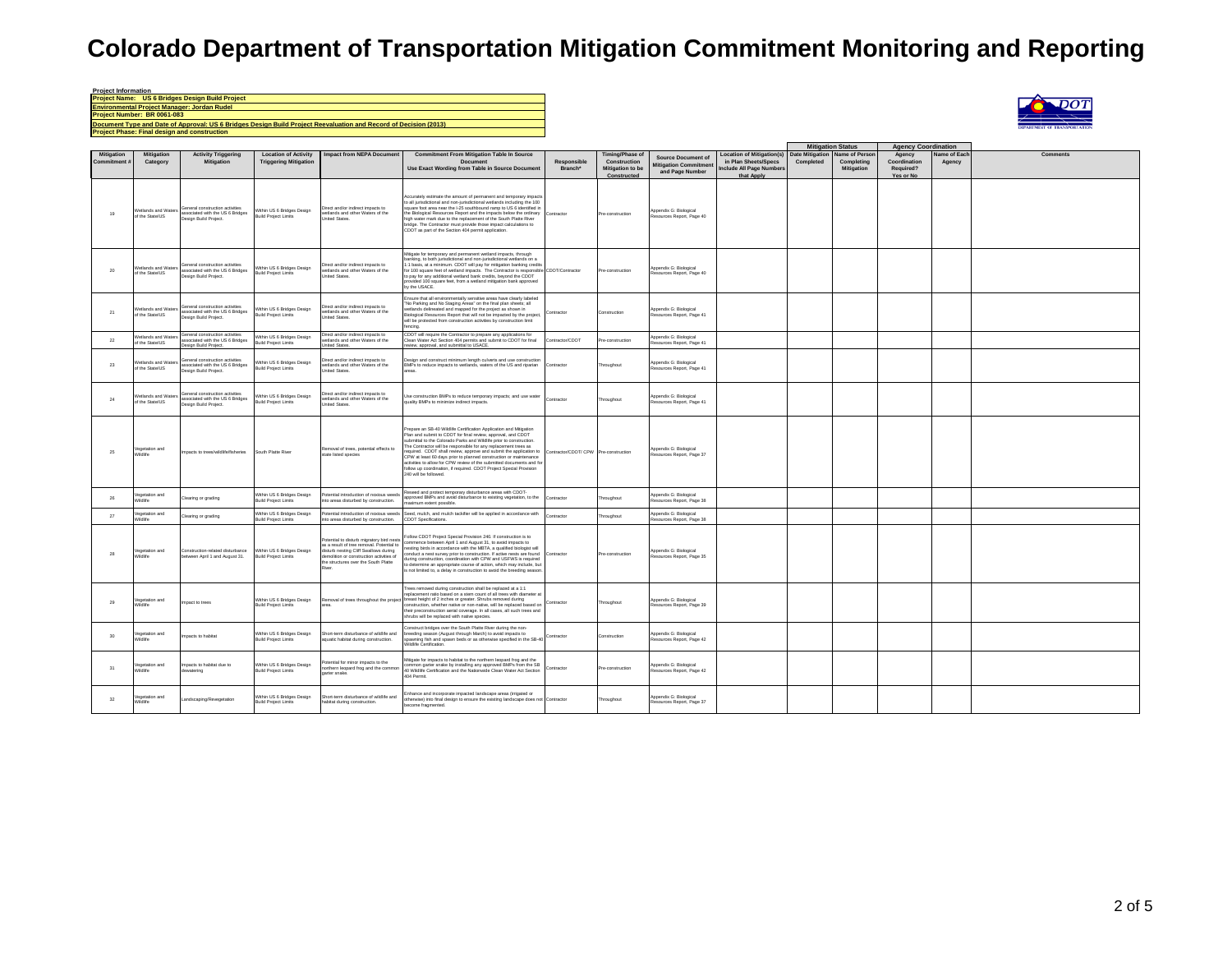| <b>Project Information</b>                                                                                       |
|------------------------------------------------------------------------------------------------------------------|
| Project Name: US 6 Bridges Design Build Project                                                                  |
| <b>Environmental Project Manager: Jordan Rudel</b>                                                               |
| Project Number: BR 0061-083                                                                                      |
| Document Type and Date of Approval: US 6 Bridges Design Build Project Reevaluation and Record of Decision (2013) |
| <b>Project Phase: Final design and construction</b>                                                              |



|                                 |                                               |                                                                                              |                                                             |                                                                                                                                                                                                                   |                                                                                                                                                                                                                                                                                                                                                                                                                                                                                                                                                                                                  |                                       |                                                                    |                                                                              |                                                                                                   | <b>Mitigation Status</b>            |                                           | <b>Agency Coordination</b>                       |                       |          |
|---------------------------------|-----------------------------------------------|----------------------------------------------------------------------------------------------|-------------------------------------------------------------|-------------------------------------------------------------------------------------------------------------------------------------------------------------------------------------------------------------------|--------------------------------------------------------------------------------------------------------------------------------------------------------------------------------------------------------------------------------------------------------------------------------------------------------------------------------------------------------------------------------------------------------------------------------------------------------------------------------------------------------------------------------------------------------------------------------------------------|---------------------------------------|--------------------------------------------------------------------|------------------------------------------------------------------------------|---------------------------------------------------------------------------------------------------|-------------------------------------|-------------------------------------------|--------------------------------------------------|-----------------------|----------|
| <b>Mitigation</b><br>Commitment | <b>Mitigation</b><br>Category                 | <b>Activity Triggering</b><br><b>Mitigation</b>                                              | <b>Location of Activity</b><br><b>Triggering Mitigation</b> | <b>Impact from NEPA Document</b>                                                                                                                                                                                  | <b>Commitment From Mitigation Table In Source</b><br>Document<br>Use Exact Wording from Table in Source Document                                                                                                                                                                                                                                                                                                                                                                                                                                                                                 | Responsible<br>Branch*                | Timing/Phase of<br>Construction<br>Mitigation to be<br>Constructed | <b>Source Document of</b><br><b>Aitigation Commitment</b><br>and Page Number | <b>Location of Mitigation(s)</b><br>in Plan Sheets/Specs<br>Include All Page Number<br>that Apply | <b>Date Mitigation</b><br>Completed | ame of Person<br>Completing<br>Mitigation | Agency<br>Coordination<br>Required?<br>Yes or No | lame of Eac<br>Agency | Comments |
| 19                              | Vetlands and Waters<br>of the State/US        | General construction activities<br>associated with the US 6 Bridges<br>Design Build Project. | Within US 6 Bridges Design<br><b>Build Project Limits</b>   | Direct and/or indirect impacts to<br>wetlands and other Waters of the<br><b>Linited States</b>                                                                                                                    | Accurately estimate the amount of permanent and temporary impacts<br>to all jurisdictional and non-jurisdictional wetlands including the 100<br>suare foot area near the I-25 southbound ramp to US 6 identified in<br>the Biological Resources Report and the impacts below the ordinary<br>high water mark due to the replacement of the South Platte River<br>bridge. The Contractor must provide those impact calculations to<br>CDOT as part of the Section 404 permit application                                                                                                          | Contractor                            | Pre-construction                                                   | Appendix G: Biological<br>Resources Report, Page 40                          |                                                                                                   |                                     |                                           |                                                  |                       |          |
| $20\,$                          | Vetlands and Waters<br>f the State/US         | General construction activities<br>associated with the US 6 Bridges<br>Jesian Build Project. | Within US 6 Bridges Design<br><b>Build Project Limits</b>   | Direct and/or indirect impacts to<br>wetlands and other Waters of the<br>United States.                                                                                                                           | Mtigate for temporary and permanent wetland impacts, through<br>banking, to both jurisdictional and non-jurisdictional wetlands on a<br>:1 basis, at a minimum. CDOT will pay for mitigation banking credits<br>or 100 square feet of wetland impacts. The Contractor is responsible CDOT/Contractor<br>o pay for any additional wetland bank credits, beyond the CDOT<br>provided 100 square feet, from a wetland mitigation bank approved<br>by the LISACE                                                                                                                                     |                                       | Pre-construction                                                   | Appendix G: Biological<br>esources Report, Page 40                           |                                                                                                   |                                     |                                           |                                                  |                       |          |
| 21                              | <b>Netlands and Waters</b><br>of the State/US | General construction activities<br>associated with the US 6 Bridges<br>Design Build Project. | Within US 6 Bridges Design<br><b>Build Project Limits</b>   | Direct and/or indirect impacts to<br>wetlands and other Waters of the<br><b>Linited States</b>                                                                                                                    | Ensure that all environmentally sensitive areas have clearly labeled<br>No Parking and No Staging Areas' on the final plan sheets; all<br>wetlands delineated and mapped for the project as shown in<br>Biological Resources Report that will not be impacted by the project,<br>will be protected from construction activities by construction limit<br>encing.                                                                                                                                                                                                                                 | Contractor                            | Construction                                                       | Appendix G: Biological<br>Resources Report, Page 41                          |                                                                                                   |                                     |                                           |                                                  |                       |          |
| 22                              | etlands and Wate<br>of the State/US           | General construction activities<br>ssociated with the US 6 Bridges<br>sign Build Project.    | Within US 6 Bridges Design<br><b>Build Project Limits</b>   | Direct and/or indirect impacts to<br>retlands and other Waters of the<br>nited States.                                                                                                                            | CDOT will require the Contractor to prepare any applications for<br>lean Water Act Section 404 permits and submit to CDOT for final<br>wiew, approval, and submittal to USACE.                                                                                                                                                                                                                                                                                                                                                                                                                   | Contractor/CDOT                       | Pre-construction                                                   | ppendix G: Biological<br>Resources Report, Page 41                           |                                                                                                   |                                     |                                           |                                                  |                       |          |
| 23                              | Metlands and Water<br>of the State/US         | General construction activities<br>associated with the US 6 Bridges<br>Design Build Project. | Within US 6 Bridges Design<br><b>Build Project Limits</b>   | Direct and/or indirect impacts to<br>wetlands and other Waters of the<br>United States.                                                                                                                           | esign and construct minimum length culverts and use construction<br>BMPs to reduce impacts to wetlands, waters of the US and riparian                                                                                                                                                                                                                                                                                                                                                                                                                                                            | Contractor                            | Throughout                                                         | Appendix G: Biological<br>Resources Report, Page 41                          |                                                                                                   |                                     |                                           |                                                  |                       |          |
| 24                              | etlands and Waters<br>f the State/US          | General construction activities<br>associated with the US 6 Bridges<br>Jesian Build Project. | Within US 6 Bridges Design<br><b>Build Project Limits</b>   | Direct and/or indirect impacts to<br>vetlands and other Waters of the<br><b>Inited States</b>                                                                                                                     | Jse construction BMPs to reduce temporary impacts; and use water<br>quality BMPs to minimize indirect impacts.                                                                                                                                                                                                                                                                                                                                                                                                                                                                                   | Contractor                            | Throughout                                                         | Appendix G: Biological<br>Resources Report, Page 41                          |                                                                                                   |                                     |                                           |                                                  |                       |          |
| 25                              | /egetation and<br>/ildlife                    | mpacts to trees/wildlife/fisheries                                                           | South Platte River                                          | Removal of trees, potential effects to<br>state listed species                                                                                                                                                    | Prepare an SB-40 Wildlife Certification Application and Mitigation<br>Plan and submit to CDOT for final review, approval, and CDOT<br>submittal to the Colorado Parks and Wildlife prior to construction.<br>The Contractor will be responsible for any replacement trees as<br>required. CDOT shall review, approve and submit the application to<br>CPW at least 60 days prior to planned construction or maintenance<br>activities to allow for CPW review of the submitted documents and for<br>follow up coordination, if required. CDOT Project Special Provision<br>240 will be followed. | Contractor/CDOT/ CPW Pre-construction |                                                                    | Appendix G: Biological<br>sources Report, Page 37                            |                                                                                                   |                                     |                                           |                                                  |                       |          |
| 26                              | egetation and<br>ildlife                      | Clearing or grading                                                                          | Within US 6 Bridges Design<br><b>Build Project Limits</b>   | Potential introduction of noxious weeds<br>nto areas disturbed by construction.                                                                                                                                   | Reseed and protect temporary disturbance areas with CDOT-<br>approved BMPs and avoid disturbance to existing vegetation, to the<br>aximum extent possible                                                                                                                                                                                                                                                                                                                                                                                                                                        | Contractor                            | hroughout                                                          | Appendix G: Biological<br>esources Report, Page 38                           |                                                                                                   |                                     |                                           |                                                  |                       |          |
| 27                              | egetation and<br>ildlife                      | Clearing or grading                                                                          | Within US 6 Bridges Design<br><b>Build Project Limits</b>   | otential introduction of noxious weeds<br>to areas disturbed by construction.                                                                                                                                     | Seed, mulch, and mulch tackifier will be applied in accordance with<br>CDOT Specifications.                                                                                                                                                                                                                                                                                                                                                                                                                                                                                                      | Contractor                            | hroughout                                                          | Appendix G: Biological<br>esources Report, Page 38                           |                                                                                                   |                                     |                                           |                                                  |                       |          |
| 28                              | egetation and<br>Vildlife                     | Construction-related disturbance<br>etween April 1 and August 31.                            | Within US 6 Bridges Design<br><b>Build Project Limits</b>   | Potential to disturb migratory bird nests<br>as a result of tree removal. Potential to<br>disturb nesting Cliff Swallows during<br>molition or construction activities of<br>the structures over the South Platte | "ollow CDOT Project Special Provision 240. If construction is to<br>ommence between April 1 and August 31, to avoid impacts to<br>resting birds in accordance with the MBTA, a qualified biologist will<br>nduct a nest survey prior to construction. If active nests are found<br>during construction, coordination with CPW and USFWS is required<br>determine an appropriate course of action, which may include, but<br>is not limited to, a delay in construction to avoid the breeding season                                                                                              | Contractor                            | Pre-construction                                                   | Appendix G: Biological<br>Resources Report, Page 35                          |                                                                                                   |                                     |                                           |                                                  |                       |          |
| 29                              | egetation and<br>/ildlife                     | mpact to trees                                                                               | Within US 6 Bridges Design<br><b>Build Project Limits</b>   | Removal of trees throughout the project                                                                                                                                                                           | frees removed during construction shall be replaced at a 1:1<br>replacement ratio based on a stem count of all trees with diameter at<br>breast height of 2 inches or greater. Shrubs removed during<br>construction, whether native or non-native, will be replaced based on<br>heir preconstruction aerial coverage. In all cases, all such trees and<br>shrubs will be replaced with native species.                                                                                                                                                                                          | Contracto                             | Throughout                                                         | Appendix G: Biological<br>Resources Report, Page 39                          |                                                                                                   |                                     |                                           |                                                  |                       |          |
| 30                              | egetation and                                 | mpacts to habitat                                                                            | Within US 6 Bridges Design<br><b>Build Project Limits</b>   | hort-term disturbance of wildlife and<br>quatic habitat during construction.                                                                                                                                      | Construct bridges over the South Platte River during the non-<br>reeding season (August through March) to avoid impacts to<br>spawning fish and spawn beds or as otherwise specified in the SB-40 Contractor<br><b>Vildlife Certification</b>                                                                                                                                                                                                                                                                                                                                                    |                                       | Construction                                                       | Appendix G: Biological<br>esources Report, Page 42                           |                                                                                                   |                                     |                                           |                                                  |                       |          |
| 31                              | /egetation and<br>ildlife                     | Impacts to habitat due to<br>ewatering                                                       | Within US 6 Bridges Design<br><b>Build Project Limits</b>   | otential for minor impacts to the<br>northern legoard frog and the common<br>garter snake.                                                                                                                        | Mtigate for impacts to habitat to the northern leopard frog and the<br>mmon garter snake by installing any approved BMPs from the SB<br>40 Wildlife Certification and the Nationwide Clean Water Act Section<br>404 Permit                                                                                                                                                                                                                                                                                                                                                                       | Contractor                            | Pre-construction                                                   | Appendix G: Biological<br>ssources Report, Page 42                           |                                                                                                   |                                     |                                           |                                                  |                       |          |
| 32                              | egetation and<br>Vildlife                     | Landscaping/Revegetation                                                                     | Within US 6 Bridges Design<br><b>Build Project Limits</b>   | Short-term disturbance of wildlife and<br>habitat during construction.                                                                                                                                            | inhance and incorporate impacted landscape areas (irrigated or<br>otherwise) into final design to ensure the existing landscape does not Contractor<br>ecome fragmented.                                                                                                                                                                                                                                                                                                                                                                                                                         |                                       | Throughout                                                         | Appendix G: Biological<br>Resources Report, Page 37                          |                                                                                                   |                                     |                                           |                                                  |                       |          |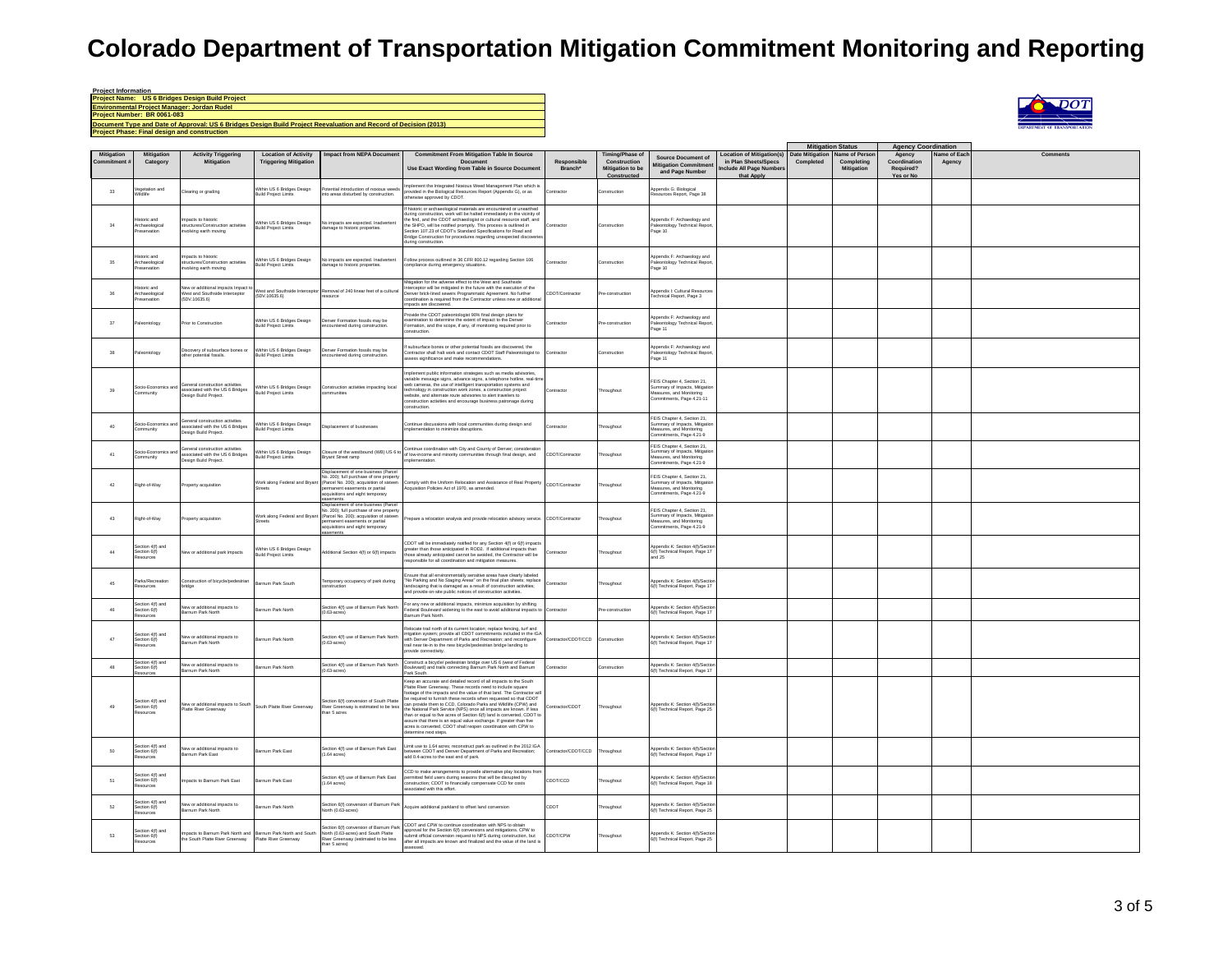### **Project Information Project Name: US 6 Bridges Design Build Project** Environmental Project Manager: Jordan Rudel<br>Project Number: BR 0061-083<br>Document Type and Date of Approval: US 6 Bridges Design Build Project Reevaluation and Record of Decision (2013) **Project Phase: Final design and construction**



|                   |                                                    |                                                                                           |                                                             |                                                                                                                                                                                                           |                                                                                                                                                                                                                                                                                                                                                                                                                                                                                                                                                                                                                                                           |                        |                                                                           |                                                                                                                        |                                                                                                                  | <b>Mitigation Status</b> |                                            | <b>Agency Coordination</b>                       |                       |                 |
|-------------------|----------------------------------------------------|-------------------------------------------------------------------------------------------|-------------------------------------------------------------|-----------------------------------------------------------------------------------------------------------------------------------------------------------------------------------------------------------|-----------------------------------------------------------------------------------------------------------------------------------------------------------------------------------------------------------------------------------------------------------------------------------------------------------------------------------------------------------------------------------------------------------------------------------------------------------------------------------------------------------------------------------------------------------------------------------------------------------------------------------------------------------|------------------------|---------------------------------------------------------------------------|------------------------------------------------------------------------------------------------------------------------|------------------------------------------------------------------------------------------------------------------|--------------------------|--------------------------------------------|--------------------------------------------------|-----------------------|-----------------|
| <b>Mitigation</b> | Mitigation<br>Category                             | <b>Activity Triggering</b><br><b>Mitigation</b>                                           | <b>Location of Activity</b><br><b>Triggering Mitigation</b> | <b>Impact from NEPA Document</b>                                                                                                                                                                          | <b>Commitment From Mitigation Table In Source</b><br><b>Document</b><br>Use Exact Wording from Table in Source Document                                                                                                                                                                                                                                                                                                                                                                                                                                                                                                                                   | Responsible<br>Branch* | <b>Timing/Phase of</b><br>Construction<br>Mitigation to be<br>Constructed | <b>Source Document of</b><br>ditigation Commitmen<br>and Page Number                                                   | <b>Location of Mitigation(s)</b> Date Mitigation<br>in Plan Sheets/Specs<br>nclude All Page Number<br>that Apply | Completed                | Name of Person<br>Completing<br>Mitigation | Agency<br>Coordination<br>Required?<br>Yes or No | Name of Eac<br>Agency | <b>Comments</b> |
| $_{33}$           | 'egetation and<br>Vildlife                         | learing or grading                                                                        | Within US 6 Bridges Design<br>Build Project Limits          | tential introduction of noxious weeds<br>to areas disturbed by construction.                                                                                                                              | nplement the Integrated Noxious Weed Management Plan which is<br>rovided in the Biological Resources Report (Appendix G), or as<br>otherwise approved by CDOT.                                                                                                                                                                                                                                                                                                                                                                                                                                                                                            | cntracto               | onstruction                                                               | lppendix G: Biological<br>Resources Report, Page 38                                                                    |                                                                                                                  |                          |                                            |                                                  |                       |                 |
| $34\,$            | oric and<br>Archaeological<br>eservation           | rpacts to historic<br>nuctures/Construction activities<br>nvolving earth moving           | Within US 6 Bridges Design<br><b>Build Project Limits</b>   | No impacts are expected. Inadvertent<br>mage to historic properties.                                                                                                                                      | f historic or archaeological materials are encountered or unearthed<br>during construction, work will be halted immediately in the vicinity of<br>the find, and the CDOT archaeologist or cultural resource staff, and<br>the SHPO, will be notified promptly. This process is outlined in<br>Section 107.23 of CDOT's Standard Specifications for Road and<br>indge Construction for procedures regarding unexpected discover<br>uring construction.                                                                                                                                                                                                     | Contractor             | Construction                                                              | Appendix F: Archaeology and<br>Paleontology Technical Report,<br>Page 10                                               |                                                                                                                  |                          |                                            |                                                  |                       |                 |
| 35                | storic and<br>chaeological<br>servation            | noacts to historic<br>nuctures/Construction activities<br>volving earth moving            | Within US 6 Bridges Design<br><b>Build Project Limits</b>   | No impacts are expected inadvertent<br>amage to historic properties.                                                                                                                                      | Follow process outlined in 36 CFR 800.12 regarding Section 106<br>ompliance during emergency situations.                                                                                                                                                                                                                                                                                                                                                                                                                                                                                                                                                  | ontracto               | onstruction                                                               | Appendix F: Archaeology and<br>Paleontology Technical Report,<br>Page 10                                               |                                                                                                                  |                          |                                            |                                                  |                       |                 |
| 36                | storic and<br>chaeological<br>servation            | lew or additional impacts Impact t<br>West and Southside Interceptor<br>(5DV-10635.6)     | West and Southside Intercept<br>(5DV.10635.6)               | emoval of 240 linear feet of a cultural<br>cource                                                                                                                                                         | Mitgation for the adverse effect to the West and Southside<br>Interceptor will be mitigated in the future with the execution of the<br>Denver brick-lined sewers Programmatic Agreement. No further<br>coordination is required from the Contractor unless new or additional<br>beautiously eas atos                                                                                                                                                                                                                                                                                                                                                      | CDOT/Contractor        | re-construction                                                           | ppendix I: Cultural Resources<br>echnical Report, Page 3                                                               |                                                                                                                  |                          |                                            |                                                  |                       |                 |
| 37                | leontology                                         | Prior to Construction                                                                     | Within US 6 Bridges Design<br><b>Build Project Limits</b>   | Denver Formation fossils may be<br>countered during construction.                                                                                                                                         | wide the CDOT paleontologist 90% final design plans for<br>scamination to determine the extent of impact to the Denver<br>Formation, and the scope, if any, of monitoring required prior to                                                                                                                                                                                                                                                                                                                                                                                                                                                               | Contractor             | Pre-construction                                                          | Appendix F: Archaeology and<br>Paleontology Technical Report,<br>age 11                                                |                                                                                                                  |                          |                                            |                                                  |                       |                 |
| $38\,$            | leontology                                         | Discovery of subsurface bones or<br>other potential fossils.                              | Within US 6 Bridges Design<br>Build Project Limits          | enver Formation fossils may be<br>ncountered during construction.                                                                                                                                         | subsurface bones or other potential fossils are discovered the<br>ntractor shall halt work and contact CDOT Staff Paleontologist to<br>ssess significance and make recommendations.                                                                                                                                                                                                                                                                                                                                                                                                                                                                       | Contracto              | Construction                                                              | Annendix F: Archaeology and<br>eontology Technical Report<br>Page 11                                                   |                                                                                                                  |                          |                                            |                                                  |                       |                 |
| 39                | ocio-Economics ar<br>munity                        | eneral construction activities<br>ssociated with the US 6 Bridges<br>esign Build Project. | Within US 6 Bridges Design<br>Build Project Limits          | Construction activities impacting local                                                                                                                                                                   | molement public information strategies such as media advisories.<br>riable message signs, advance signs, a telephone hotline, real-tin<br>web cameras, the use of intelligent transportation systems and<br>the cumerus, the date of intemperature reported to systems the<br>technology in construction work zones, a construction project<br>website, and alternate route advisories to alert travelers to<br>construction activities and encourage business patronage during<br>onstruction.                                                                                                                                                           | contracto              | oughout                                                                   | FEIS Chapter 4. Section 21.<br>Summary of Impacts, Mitigation<br>Measures, and Monitoring<br>Commitments, Page 4.21-11 |                                                                                                                  |                          |                                            |                                                  |                       |                 |
| 40                | iocio-Economics an<br>mmunity                      | eneral construction activities<br>ssociated with the US 6 Bridges<br>sign Build Project.  | Vithin US 6 Bridges Design<br><b>Build Project Limits</b>   | lisplacement of businesses                                                                                                                                                                                | Continue discussions with local communities during design and<br>molementation to minimize disruptions.                                                                                                                                                                                                                                                                                                                                                                                                                                                                                                                                                   | Contractor             | hroughout                                                                 | FFIS Chanter 4 Section 21<br>Summary of Impacts, Mitigatio<br>Measures, and Monitoring<br>commitments, Page 4.21-9     |                                                                                                                  |                          |                                            |                                                  |                       |                 |
| 41                | cio-Economics<br>mmunity                           | eneral construction activitie<br>sociated with the US 6 Bridges<br>sign Build Project.    | thin US 6 Bridges Design<br><b>Build Project Limits</b>     | sure of the westbound (WB) US 6 to<br>Bryant Street ramp                                                                                                                                                  | Continue coordination with City and County of Denver; considerati<br>of low-income and minority communities through final design, and<br>plementation.                                                                                                                                                                                                                                                                                                                                                                                                                                                                                                    | CDOT/Contractor        | roughout                                                                  | FEIS Chapter 4. Section 21.<br>Summary of Impacts, Mitiga<br>Measures, and Monitoring<br>Commitments, Page 4.21-9      |                                                                                                                  |                          |                                            |                                                  |                       |                 |
| 42                | tight-of-Way                                       | roperty acquisition                                                                       | Vork along Federal and Bryant<br>reets                      | isplacement of one business (Parcel<br>No. 200); full purchase of one property<br>(Parcel No. 200); acquisition of sixteen<br>ermanent easements or partial<br>cquisitions and eight temporary<br>ements. | smply with the Uniform Relocation and Assistance of Real Property<br>cquisition Policies Act of 1970, as amended.                                                                                                                                                                                                                                                                                                                                                                                                                                                                                                                                         | CDOT/Contractor        | roughout                                                                  | FEIS Chapter 4, Section 21,<br>Summary of Impacts, Mitigatio<br>Measures, and Monitoring<br>Commitments, Page 4.21-9   |                                                                                                                  |                          |                                            |                                                  |                       |                 |
| 43                | tight-of-Way                                       | roperty acquisition                                                                       | Vork along Federal and Bryant<br>treets                     | splacement of one business (Parcel<br>No. 200): full purchase of one propert<br>(Parcel No. 200); acquisition of sixteen<br>rmanent easements or partial<br>quisitions and eight temporary                | Prepare a relocation analysis and provide relocation advisory service. CDOT/Contractor                                                                                                                                                                                                                                                                                                                                                                                                                                                                                                                                                                    |                        | roughout                                                                  | FFIS Chanter 4 Section 21<br>mmary of Impacts, Mitigatio<br>Measures, and Monitoring<br>Commitments, Page 4.21-9       |                                                                                                                  |                          |                                            |                                                  |                       |                 |
| 44                | ection 4(f) and<br>Section 6(f)<br>sources         | lew or additional park impacts                                                            | Within US 6 Bridges Design<br><b>Build Project Limits</b>   | dditional Section 4(f) or 6(f) impacts                                                                                                                                                                    | CDOT will be immediately notified for any Section 4(f) or 6(f) impacts<br>preater than those anticipated in ROD2. If additional impacts than<br>hose already anticipated cannot be avoided, the Contractor will be<br>sponsible for all coordination and mitigation measures.                                                                                                                                                                                                                                                                                                                                                                             | Contractor             | troughout                                                                 | Annendix K: Section 4(f)/Secti<br>6(f) Technical Report, Page 17<br>and 25                                             |                                                                                                                  |                          |                                            |                                                  |                       |                 |
| 45                | arks/Recreation<br>sources                         | Construction of bicycle/pedestrian<br>vridae                                              | Barnum Park South                                           | Temporary occupancy of park during<br>onstruction                                                                                                                                                         | sure that all environmentally sensitive areas have clearly labeled<br>No Parking and No Staging Areas' on the final plan sheets; replace<br>indscaping that is damaged as a result of construction activities;<br>nd provide on-site public notices of construction activities.                                                                                                                                                                                                                                                                                                                                                                           | Contractor             | hroughout                                                                 | Appendix K: Section 4(f)/Sectio<br>6(f) Technical Report, Page 17                                                      |                                                                                                                  |                          |                                            |                                                  |                       |                 |
| 46                | ection 4(f) and<br>ection 6(f)<br>urces            | New or additional impacts to<br>smum Park North                                           | larnum Park North                                           | Section 4(f) use of Barnum Park North<br>$(0.63 \text{-acres})$                                                                                                                                           | For any new or additional impacts, minimize acquisition by shifting<br>Federal Boulevard widening to the east to avoid additional impacts to<br>Barnum Park North.                                                                                                                                                                                                                                                                                                                                                                                                                                                                                        | Contracto              | re-construction                                                           | Appendix K: Section 4(f)/Sectio<br>6(f) Technical Report, Page 17                                                      |                                                                                                                  |                          |                                            |                                                  |                       |                 |
| 47                | ction 4(f) and<br>Section 6(f)<br>sources          | lew or additional impacts to<br>Barnum Park North                                         | larnum Park North                                           | Section 4(f) use of Barnum Park North<br>$(0.63$ -acres)                                                                                                                                                  | lelocate trail north of its current location: replace fencing, turf and<br>renounce that there is a conservation in the mail of the conservation in the IGA with Denver Department of Parks and Recreation; and reconfigure<br>trail near tie-in to the new bicycle/pedestrian bridge landing to<br>wide connectivity.                                                                                                                                                                                                                                                                                                                                    | Contractor/CDOT/CCD    | Construction                                                              | Appendix K: Section 4(f)/Sectio<br>6(f) Technical Report, Page 17                                                      |                                                                                                                  |                          |                                            |                                                  |                       |                 |
| $48\,$            | iection 4(f) and<br>iection 6(f)<br>sources        | New or additional impacts to<br>Barnum Park North                                         | srnum Park North                                            | Section 4(f) use of Barnum Park North<br>(0.63-acres)                                                                                                                                                     | Construct a bicycle/ pedestrian bridge over US 6 (west of Federal<br>Boulevard) and trails connecting Barnum Park North and Barnum<br>Park South.                                                                                                                                                                                                                                                                                                                                                                                                                                                                                                         | ontracto               | onstruction                                                               | Appendix K: Section 4(f)/Section<br>6(f) Technical Report, Page 17                                                     |                                                                                                                  |                          |                                            |                                                  |                       |                 |
| 49                | Section 4(f) and<br>Section 6(f)<br>urces          | New or additional impacts to South<br>Platte River Greenway                               | South Platte River Greenway                                 | Section 6(f) conversion of South Platte<br>River Greenway is estimated to be less<br>an 5 acres                                                                                                           | Keep an accurate and detailed record of all impacts to the South<br>Platte River Greenway. These records need to include square<br>ootage of the impacts and the value of that land. The Contractor wi<br>e required to furnish these records when requested so that CDOT<br>can provide them to CCD. Colorado Parks and Wildlife (CPW) and<br>the National Park Service (NPS) once all impacts are known. If less<br>than or equal to five acres of Section 6(f) land is converted, CDOT to<br>assure that there is an equal value exchange. If greater than five<br>cres is converted, CDOT shall reopen coordination with CPW to<br>ermine next steps. | ontractor/CDOT         | Throughout                                                                | Appendix K: Section 4(f)/Section<br>6(f) Technical Report, Page 25                                                     |                                                                                                                  |                          |                                            |                                                  |                       |                 |
| 50                | ection 4(f) and<br>Section 6(f)<br>sources         | New or additional impacts to<br>arnum Park East                                           | Barnum Park East                                            | Section 4(f) use of Barnum Park East<br>$(1.64 \text{ acres})$                                                                                                                                            | Limit use to 1.64 acres; reconstruct park as outlined in the 2012 IGA<br>ween CDOT and Denver Department of Parks and Recreation:<br>add 0.4-acres to the east end of park.                                                                                                                                                                                                                                                                                                                                                                                                                                                                               | Contractor/CDOT/CCD    | Throughout                                                                | Appendix K: Section 4(f)/Sectio<br>6(f) Technical Report, Page 17                                                      |                                                                                                                  |                          |                                            |                                                  |                       |                 |
| 51                | ection 4(f) and<br>Section 6(f)<br>ources          | rpacts to Barnum Park East                                                                | Barnum Park East                                            | Section 4(f) use of Barnum Park East<br>$(1.64 \text{ across})$                                                                                                                                           | CCD to make arrangements to provide alternative play locations from<br>ermitted field users during seasons that will be disrupted by<br>nstruction; CDOT to financially compensate CCD for costs<br>ssociated with this effort.                                                                                                                                                                                                                                                                                                                                                                                                                           | CDOT/CCD               | hroughout                                                                 | opendix K: Section 4(f)/Sectio<br>6(f) Technical Report, Page 18                                                       |                                                                                                                  |                          |                                            |                                                  |                       |                 |
| 62                | ection 4(f) and<br>$color6(f)esources$             | New or additional impacts to<br>Barnum Park North                                         | srnum Park North                                            | Section 6(f) conversion of Barnum Park<br>North (0.63-acres)                                                                                                                                              | Acquire additional parkland to offset land conversion                                                                                                                                                                                                                                                                                                                                                                                                                                                                                                                                                                                                     | CDOT                   | roughout                                                                  | Appendix K: Section 4(f)/Section<br>6(f) Technical Report, Page 25                                                     |                                                                                                                  |                          |                                            |                                                  |                       |                 |
| 53                | ction 4(f) and<br>Section 6(f)<br><b>esquirces</b> | pacts to Barnum Park North and<br>the South Platte River Greenway                         | Barnum Park North and South<br>Platte River Greenway        | Section 6(f) conversion of Barnum Park<br>North (0.63-acres) and South Platte<br>River Greenway (estimated to be less<br>than 5 acres)                                                                    | CDOT and CPW to continue coordination with NPS to obtain<br>pproval for the Section 6(f) conversions and mitigations. CPW to<br>submit official conversion request to NPS during construction, but<br>after all impacts are known and finalized and the value of the land is<br>ssed.                                                                                                                                                                                                                                                                                                                                                                     | CDOT/CPW               | hroughout                                                                 | Appendix K: Section 4(f)/Secti<br>6(f) Technical Report, Page 25                                                       |                                                                                                                  |                          |                                            |                                                  |                       |                 |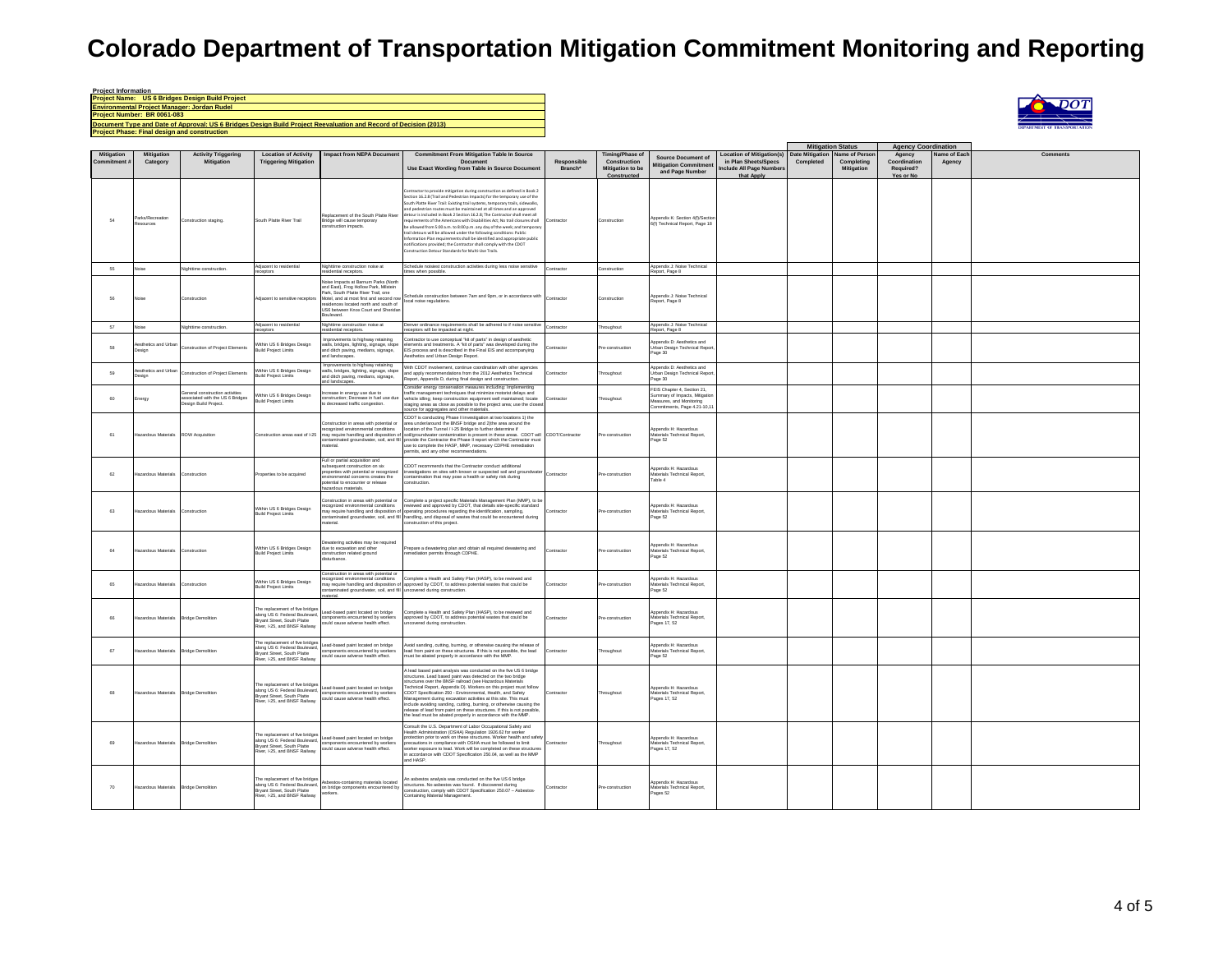| <b>Project Information</b>                                                                                       |
|------------------------------------------------------------------------------------------------------------------|
| <b>Project Name: US 6 Bridges Design Build Project</b>                                                           |
| <b>Environmental Project Manager: Jordan Rudel</b>                                                               |
| Project Number: BR 0061-083                                                                                      |
| Document Type and Date of Approval: US 6 Bridges Design Build Project Reevaluation and Record of Decision (2013) |
| <b>Project Phase: Final design and construction</b>                                                              |



|                                 |                                       |                                                                                           |                                                                                                                                  |                                                                                                                                                                                                                                                             |                                                                                                                                                                                                                                                                                                                                                                                                                                                                                                                                                                                                                                                                                                                                                                                                                                        |                        |                                                                                  |                                                                                                                         |                                                                                                  | <b>Mitigation Status</b>                    |                          | <b>Agency Coordination</b>                       |                       |          |
|---------------------------------|---------------------------------------|-------------------------------------------------------------------------------------------|----------------------------------------------------------------------------------------------------------------------------------|-------------------------------------------------------------------------------------------------------------------------------------------------------------------------------------------------------------------------------------------------------------|----------------------------------------------------------------------------------------------------------------------------------------------------------------------------------------------------------------------------------------------------------------------------------------------------------------------------------------------------------------------------------------------------------------------------------------------------------------------------------------------------------------------------------------------------------------------------------------------------------------------------------------------------------------------------------------------------------------------------------------------------------------------------------------------------------------------------------------|------------------------|----------------------------------------------------------------------------------|-------------------------------------------------------------------------------------------------------------------------|--------------------------------------------------------------------------------------------------|---------------------------------------------|--------------------------|--------------------------------------------------|-----------------------|----------|
| <b>Mitigation</b><br>Commitment | <b>Mitigation</b><br>Category         | <b>Activity Triggering</b><br><b>Mitigation</b>                                           | <b>Location of Activity</b><br><b>Triggering Mitigation</b>                                                                      | <b>Impact from NEPA Document</b>                                                                                                                                                                                                                            | <b>Commitment From Mitigation Table In Source</b><br>Document<br>Use Exact Wording from Table in Source Documen                                                                                                                                                                                                                                                                                                                                                                                                                                                                                                                                                                                                                                                                                                                        | Responsible<br>Branch* | <b>Timing/Phase of</b><br>Construction<br><b>Mitigation to be</b><br>Constructed | <b>Source Document of</b><br><b>Mitigation Commitmer</b><br>and Page Number                                             | <b>Location of Mitigation(s)</b><br>in Plan Sheets/Specs<br>nclude All Page Number<br>that Apply | Date Mitigation Name of Person<br>Completed | Completing<br>Mitigation | Agency<br>Coordination<br>Required?<br>Yes or No | Name of Eac<br>Agency | Comments |
| 54                              | trks/Recreatio<br>sources             | Construction staging.                                                                     | South Platte River Trail                                                                                                         | Replacement of the South Platte River<br>Bridge will cause temporary<br>instruction impacts.                                                                                                                                                                | ontractor to provide mitigation during construction as defined in Book 2<br>Section 16.2.8 (Trail and Pedestrian Impacts) for the temporary use of the<br>South Platte River Trail: Existing trail systems, temporary trails, sidewalks,<br>and pedestrian routes must be maintained at all times and an approved<br>detour is included in Book 2 Section 16.2.8; The Contractor shall meet all<br>uirements of the Americans with Disabilities Act; No trail closures shall<br>e allowed from 5:00 a.m. to 8:00 p.m. any day of the week; and temporar<br>trail detours will be allowed under the following conditions: Public<br>nformation Plan requirements shall be identified and appropriate public<br>notifications provided; the Contractor shall comply with the CDOT<br>Construction Detour Standards for Multi-Use Trails. | Contracto              | Construction                                                                     | Appendix K: Section 4(f)/Sectio<br>6(f) Technical Report, Page 18                                                       |                                                                                                  |                                             |                          |                                                  |                       |          |
| 55                              | loise                                 | Nighttime construction                                                                    | Adiacent to residential<br>ceptors                                                                                               | Nighttime construction noise at<br>lential receptors.                                                                                                                                                                                                       | Schedule noisiest construction activities during less noise sensitive<br>times when possible.                                                                                                                                                                                                                                                                                                                                                                                                                                                                                                                                                                                                                                                                                                                                          | Contractor             | Construction                                                                     | Appendix J: Noise Technical<br>eport, Page 8                                                                            |                                                                                                  |                                             |                          |                                                  |                       |          |
| 66                              |                                       | Construction                                                                              | diacent to sensitive receptors                                                                                                   | Noise Impacts at Barnum Parks (North<br>and East), Frog Hollow Park, Mistein<br>Park, South Platte River Trail, one<br>Motel, and at most first and second row<br>residences located north and south of<br>US6 between Knox Court and Sherida<br>Boulevard. | Schedule construction between 7am and 9pm, or in accordance with<br>local noise regulations.                                                                                                                                                                                                                                                                                                                                                                                                                                                                                                                                                                                                                                                                                                                                           | Contracto              | onstruction                                                                      | Appendix J: Noise Technical<br>teport, Page 8                                                                           |                                                                                                  |                                             |                          |                                                  |                       |          |
| 57                              | ise                                   | Nighttime construction                                                                    | djacent to residential<br>ceptors                                                                                                | Nighttime construction noise at<br>sidential receptors.                                                                                                                                                                                                     | Denver ordinance requirements shall be adhered to if noise sensitive<br>receptors will be impacted at night.                                                                                                                                                                                                                                                                                                                                                                                                                                                                                                                                                                                                                                                                                                                           | Contractor             | hroughout                                                                        | Appendix J: Noise Technical<br>coort, Page 8                                                                            |                                                                                                  |                                             |                          |                                                  |                       |          |
| 58                              | sthetics and Urba<br>sign             | Instruction of Project Elements                                                           | Within US 6 Bridges Design<br>uild Project Limits                                                                                | morovements to highway retaining<br>walls, bridges, lighting, signage, slope<br>and ditch paving, medians, signage,<br>and landscapes.                                                                                                                      | Contractor to use conceptual "kit of parts" in design of aesthetic<br>elements and treatments. A "kit of parts" was developed during the EIS process and is described in the Final EIS and accompanying<br>lesthetics and Urban Design Report.                                                                                                                                                                                                                                                                                                                                                                                                                                                                                                                                                                                         | ontracto               | re-constructio                                                                   | Appendix D: Aesthetics and<br>Urban Design Technical Repor<br>Page 30                                                   |                                                                                                  |                                             |                          |                                                  |                       |          |
| 69                              | sthetics and Urba<br>esiar            | Construction of Project Elements                                                          | Within US 6 Bridges Design<br><b>Build Project Limits</b>                                                                        | rprovements to highway retaining<br>walls, bridges, lighting, signage, slope<br>and ditch paving, medians, signage,<br>d landscanes                                                                                                                         | With CDOT involvement, continue coordination with other agencies<br>and apply recommendations from the 2012 Aesthetics Technical<br>sport, Appendix D, during final design and construction.                                                                                                                                                                                                                                                                                                                                                                                                                                                                                                                                                                                                                                           | Contractor             | roughout                                                                         | Appendix D: Aesthetics and<br>Urban Design Technical Repor<br>age 30                                                    |                                                                                                  |                                             |                          |                                                  |                       |          |
| 60                              | ergy                                  | eneral construction activities<br>ssociated with the US 6 Bridges<br>esign Build Project. | Within US 6 Bridges Design<br><b>Build Project Limits</b>                                                                        | rease in energy use due to<br>onstruction; Decrease in fuel use due<br>o decreased traffic congestion.                                                                                                                                                      | Consider energy conservation measures including: Implement<br>traffic management techniques that minimize motorist delays and<br>vehicle idling; keep construction equipment well maintained; locate<br>staging areas as close as possible to the project area; use the close<br>ource for aggregates and other materials                                                                                                                                                                                                                                                                                                                                                                                                                                                                                                              | Contractor             | hroughout                                                                        | FEIS Chapter 4, Section 21,<br>Summary of Impacts, Mitigatio<br>Measures, and Monitorin<br>Commitments, Page 4.21-10.11 |                                                                                                  |                                             |                          |                                                  |                       |          |
| 61                              | azardous Materials                    | <b>ROW Acquisition</b>                                                                    | Construction areas east of I-25                                                                                                  | Construction in areas with potential or<br>ecognized environmental conditions<br>may require handling and disposition<br>sterial.                                                                                                                           | CDOT is conducting Phase II investigation at two locations 1) the<br>area under/around the BNSF bridge and 2)the area around the<br>location of the Tunnel / I-25 Bridge to further determine if<br>ay require handling and disposition of soli/groundwater contamination is present in these areas. CDOT will CDOT/Contractor<br>ontaminated groundwater, soil, and fill provide the Contractor the Phase II report which the Contra<br>use to complete the HASP, MMP, necessary CDPHE remediation<br>permits, and any other recommendations.                                                                                                                                                                                                                                                                                         |                        | re-construction                                                                  | Appendix H: Hazardous<br>Materials Technical Report,<br>Page 52                                                         |                                                                                                  |                                             |                          |                                                  |                       |          |
| 62                              | azardous Materials                    | Construction                                                                              | roperties to be acquired                                                                                                         | Full or partial acquisition and<br>subsequent construction on six<br>roperties with potential or recognized<br>ronmental concerns creates the<br>stential to encounter or release<br>zardous materials.                                                     | CDOT recommends that the Contractor conduct additional<br>nvestigations on sites with known or suspected soil and groundwat<br>contamination that may pose a health or safety risk during<br>construction.                                                                                                                                                                                                                                                                                                                                                                                                                                                                                                                                                                                                                             | Contractor             | re-construction                                                                  | Appendix H: Hazardous<br>Materials Technical Report,<br>Table 4                                                         |                                                                                                  |                                             |                          |                                                  |                       |          |
| 63                              | azardous Materials                    | Construction                                                                              | Within US 6 Bridges Design<br><b>Build Project Limits</b>                                                                        | instruction in areas with potential or<br>aterial.                                                                                                                                                                                                          | Complete a project specific Materials Management Plan (MMP), to be<br>construction in the computer of the computer of the computer of the computer of the computer of the computer of the computer of the computer of the computer of the computer of the computer of the computer of the computer o<br>taminated groundwater, soil, and fill handling, and disposal of wastes that could be encountered during<br>construction of this project.                                                                                                                                                                                                                                                                                                                                                                                       | ontractor              | re-construction                                                                  | ppendix H: Hazardous<br>Materials Technical Report,<br>Page 52                                                          |                                                                                                  |                                             |                          |                                                  |                       |          |
| 64                              | azardous Materials                    | Construction                                                                              | Within US 6 Bridges Design<br><b>Build Project Limits</b>                                                                        | watering activities may be required<br>due to excavation and other<br>construction related ground<br>listurbance.                                                                                                                                           | Prepare a dewatering plan and obtain all required dewatering and<br>remediation permits through CDPHE.                                                                                                                                                                                                                                                                                                                                                                                                                                                                                                                                                                                                                                                                                                                                 | Contractor             | re-construction                                                                  | <b>Innendix H: Hazardous</b><br>terials Technical Report,<br>Page 52                                                    |                                                                                                  |                                             |                          |                                                  |                       |          |
| 65                              | azardous Materials                    | Construction                                                                              | Within US 6 Bridges Design<br><b>Build Project Limits</b>                                                                        | Construction in areas with potential or<br>cognized environmental conditions<br>ntaminated groundwater, soil, and fill uncovered during construction.<br>aterial.                                                                                           | Complete a Health and Safety Plan (HASP) to be reviewed and<br>may require handling and disposition of approved by CDOT, to address potential wastes that could be                                                                                                                                                                                                                                                                                                                                                                                                                                                                                                                                                                                                                                                                     | Contractor             | re-construction                                                                  | opendix H: Hazardous<br>rials Technical Report,<br>Page 52                                                              |                                                                                                  |                                             |                          |                                                  |                       |          |
| 66                              | azardous Materials                    | <b>Bridge Demolition</b>                                                                  | The replacement of five bridge<br>along US 6: Federal Boulevard,<br>Bryant Street, South Platte<br>tiver, I-25, and BNSF Railway | ead-based paint located on bridge<br>omponents encountered by workers<br>puld cause adverse health effect.                                                                                                                                                  | Complete a Health and Safety Plan (HASP) to be reviewed and<br>approved by CDOT, to address potential wastes that could be<br>covered during construction.                                                                                                                                                                                                                                                                                                                                                                                                                                                                                                                                                                                                                                                                             | Contractor             | re-construction                                                                  | Annendix H: Hazardous<br>laterials Technical Report,<br>Pages 17, 52                                                    |                                                                                                  |                                             |                          |                                                  |                       |          |
| 67                              | zardous Materials                     | <b>Bridge Demolition</b>                                                                  | The replacement of five bridges<br>along US 6: Federal Boulevard<br>Bryant Street, South Platte<br>iver. I-25, and BNSF Railway  | ead-based paint located on bridge<br>mponents encountered by workers<br>could cause adverse health effect.                                                                                                                                                  | Avoid sanding, cutting, burning, or otherwise causing the release of<br>lead from paint on these structures. If this is not pos<br>sible, the lead<br>must be abated properly in accordance with the MMP.                                                                                                                                                                                                                                                                                                                                                                                                                                                                                                                                                                                                                              | intracto               | roughou                                                                          | Appendix H: Hazardous<br>erials Technical Report,<br>Page 52                                                            |                                                                                                  |                                             |                          |                                                  |                       |          |
| 68                              | azardous Materials                    | <b>Bridge Demolition</b>                                                                  | The replacement of five bridges<br>along US 6: Eederal Boulevard<br>Bryant Street, South Platte<br>liver 1-25 and RNSE Railway   | Lead-based paint located on bridge<br>components encountered by workers<br>could cause adverse health effect.                                                                                                                                               | A lead based paint analysis was conducted on the five US 6 bridge<br>structures. Lead based paint was detected on the two bridge<br>tructures over the RNSE railroad (see Hazardous Materials<br>Technical Report, Appendix D). Workers on this project must follow<br>CDOT Specification 250 - Environmental, Health, and Safety<br>Management during excavation activities at this site. This must<br>nclude avoiding sanding, cutting, burning, or otherwise causing the<br>release of lead from paint on these structures. If this is not possible<br>the lead must be abated properly in accordance with the MMP.                                                                                                                                                                                                                 | Contractor             | hroughou                                                                         | Appendix H: Hazardous<br>Materials Technical Report,<br>Pages 17, 52                                                    |                                                                                                  |                                             |                          |                                                  |                       |          |
| 69                              | Hazardous Materials Bridge Demolition |                                                                                           | The replacement of five bridge<br>along US 6: Federal Boulevard,<br>Bryant Street, South Platte<br>tiver, I-25, and BNSF Railway | ead-based paint located on bridge<br>omponents encountered by workers<br>uld cause adverse health effect.                                                                                                                                                   | Consult the U.S. Department of Labor Occupational Safety and<br>Health Administration (OSHA) Regulation 1926.62 for worker<br>otection prior to work on these structures. Worker health and safe<br>precautions in compliance with OSHA must be followed to limit<br>worker exposure to lead. Work will be completed on these structures<br>n accordance with CDOT Specification 250.04, as well as the MMP<br>and HASP.                                                                                                                                                                                                                                                                                                                                                                                                               | Contractor             | hroughout                                                                        | ppendix H: Hazardous<br>Materials Technical Report,<br>Pages 17, 52                                                     |                                                                                                  |                                             |                          |                                                  |                       |          |
| 70                              | Hazardous Materials Bridge Demolition |                                                                                           | The replacement of five bridge<br>along US 6: Federal Boulevard,<br>Brvant Street, South Platte<br>tiver, I-25, and BNSF Railway | sbestos-containing materials located<br>on bridge components encountered by<br>xkers                                                                                                                                                                        | An asbestos analysis was conducted on the five US 6 bridge<br>structures. No asbestos was found. If discovered during<br>construction, comply with CDOT Specification 250.07 - Asbestos-<br>Containing Material Management.                                                                                                                                                                                                                                                                                                                                                                                                                                                                                                                                                                                                            | Contractor             | Pre-construction                                                                 | <b>Jopendix H: Hazardous</b><br>Materials Technical Report.<br>Pages 52                                                 |                                                                                                  |                                             |                          |                                                  |                       |          |